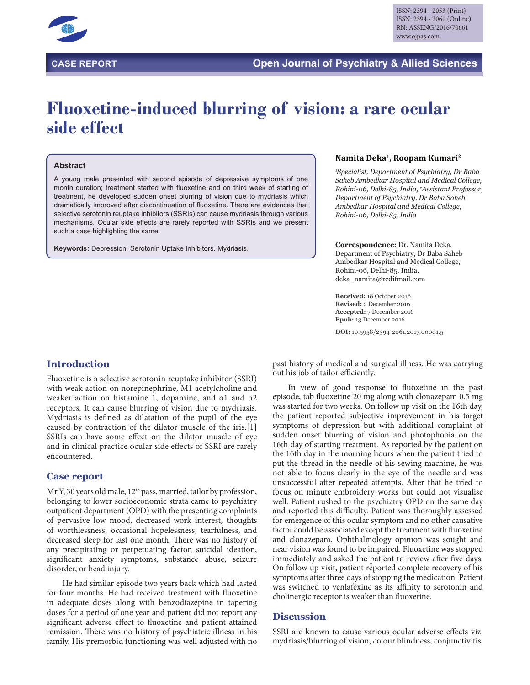

# **Fluoxetine-induced blurring of vision: a rare ocular side effect**

#### **Abstract**

A young male presented with second episode of depressive symptoms of one month duration; treatment started with fluoxetine and on third week of starting of treatment, he developed sudden onset blurring of vision due to mydriasis which dramatically improved after discontinuation of fluoxetine. There are evidences that selective serotonin reuptake inhibitors (SSRIs) can cause mydriasis through various mechanisms. Ocular side effects are rarely reported with SSRIs and we present such a case highlighting the same.

**Keywords:** Depression. Serotonin Uptake Inhibitors. Mydriasis.

#### **Namita Deka1, Roopam Kumari2**

*1 Specialist, Department of Psychiatry, Dr Baba Saheb Ambedkar Hospital and Medical College, Rohini-06, Delhi-85, India, 2 Assistant Professor, Department of Psychiatry, Dr Baba Saheb Ambedkar Hospital and Medical College, Rohini-06, Delhi-85, India*

**Correspondence:** Dr. Namita Deka, Department of Psychiatry, Dr Baba Saheb Ambedkar Hospital and Medical College, Rohini-06, Delhi-85. India. deka\_namita@redifmail.com

**Received:** 18 October 2016 **Revised:** 2 December 2016 **Accepted:** 7 December 2016 **Epub:** 13 December 2016

**DOI:** 10.5958/2394-2061.2017.00001.5

# **Introduction**

Fluoxetine is a selective serotonin reuptake inhibitor (SSRI) with weak action on norepinephrine, M1 acetylcholine and weaker action on histamine 1, dopamine, and α1 and α2 receptors. It can cause blurring of vision due to mydriasis. Mydriasis is defined as dilatation of the pupil of the eye caused by contraction of the dilator muscle of the iris.[1] SSRIs can have some effect on the dilator muscle of eye and in clinical practice ocular side effects of SSRI are rarely encountered.

# **Case report**

Mr Y, 30 years old male, 12<sup>th</sup> pass, married, tailor by profession, belonging to lower socioeconomic strata came to psychiatry outpatient department (OPD) with the presenting complaints of pervasive low mood, decreased work interest, thoughts of worthlessness, occasional hopelessness, tearfulness, and decreased sleep for last one month. There was no history of any precipitating or perpetuating factor, suicidal ideation, significant anxiety symptoms, substance abuse, seizure disorder, or head injury.

He had similar episode two years back which had lasted for four months. He had received treatment with fluoxetine in adequate doses along with benzodiazepine in tapering doses for a period of one year and patient did not report any significant adverse effect to fluoxetine and patient attained remission. There was no history of psychiatric illness in his family. His premorbid functioning was well adjusted with no past history of medical and surgical illness. He was carrying out his job of tailor efficiently.

In view of good response to fluoxetine in the past episode, tab fluoxetine 20 mg along with clonazepam 0.5 mg was started for two weeks. On follow up visit on the 16th day, the patient reported subjective improvement in his target symptoms of depression but with additional complaint of sudden onset blurring of vision and photophobia on the 16th day of starting treatment. As reported by the patient on the 16th day in the morning hours when the patient tried to put the thread in the needle of his sewing machine, he was not able to focus clearly in the eye of the needle and was unsuccessful after repeated attempts. After that he tried to focus on minute embroidery works but could not visualise well. Patient rushed to the psychiatry OPD on the same day and reported this difficulty. Patient was thoroughly assessed for emergence of this ocular symptom and no other causative factor could be associated except the treatment with fluoxetine and clonazepam. Ophthalmology opinion was sought and near vision was found to be impaired. Fluoxetine was stopped immediately and asked the patient to review after five days. On follow up visit, patient reported complete recovery of his symptoms after three days of stopping the medication. Patient was switched to venlafexine as its affinity to serotonin and cholinergic receptor is weaker than fluoxetine.

# **Discussion**

SSRI are known to cause various ocular adverse effects viz. mydriasis/blurring of vision, colour blindness, conjunctivitis,